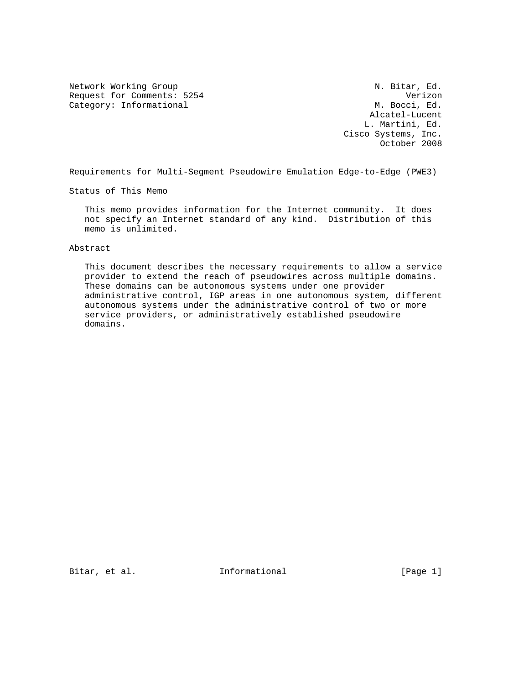Network Working Group N. Bitar, Ed. Request for Comments: 5254 Verizon<br>
Category: Informational M. Bocci, Ed. Category: Informational

 Alcatel-Lucent L. Martini, Ed. Cisco Systems, Inc. October 2008

Requirements for Multi-Segment Pseudowire Emulation Edge-to-Edge (PWE3)

Status of This Memo

 This memo provides information for the Internet community. It does not specify an Internet standard of any kind. Distribution of this memo is unlimited.

#### Abstract

 This document describes the necessary requirements to allow a service provider to extend the reach of pseudowires across multiple domains. These domains can be autonomous systems under one provider administrative control, IGP areas in one autonomous system, different autonomous systems under the administrative control of two or more service providers, or administratively established pseudowire domains.

Bitar, et al.  $I_n$  Informational [Page 1]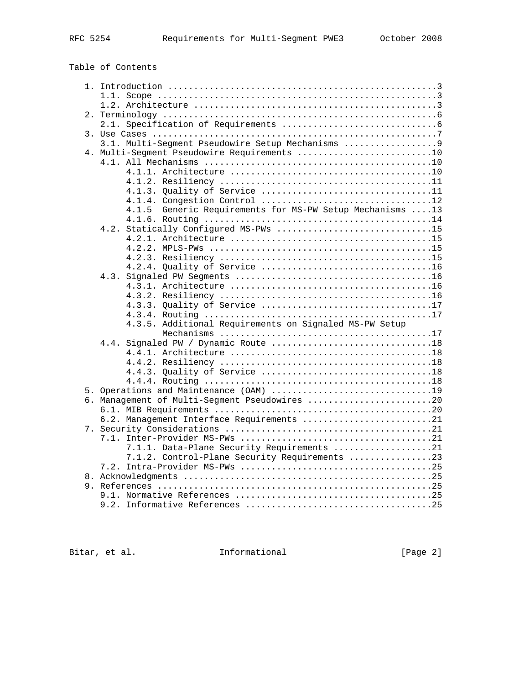# Table of Contents

| 3.1. Multi-Segment Pseudowire Setup Mechanisms 9             |
|--------------------------------------------------------------|
| 4. Multi-Segment Pseudowire Requirements 10                  |
|                                                              |
|                                                              |
|                                                              |
| 4.1.3. Quality of Service 11                                 |
|                                                              |
| Generic Requirements for MS-PW Setup Mechanisms  13<br>4.1.5 |
|                                                              |
| 4.2. Statically Configured MS-PWs 15                         |
|                                                              |
|                                                              |
|                                                              |
|                                                              |
|                                                              |
|                                                              |
|                                                              |
| 4.3.3. Quality of Service 17                                 |
|                                                              |
| 4.3.5. Additional Requirements on Signaled MS-PW Setup       |
|                                                              |
|                                                              |
|                                                              |
|                                                              |
|                                                              |
|                                                              |
|                                                              |
| 6. Management of Multi-Segment Pseudowires 20                |
|                                                              |
| 6.2. Management Interface Requirements 21                    |
|                                                              |
|                                                              |
| 7.1.1. Data-Plane Security Requirements 21                   |
| 7.1.2. Control-Plane Security Requirements 23                |
|                                                              |
|                                                              |
|                                                              |
|                                                              |
|                                                              |

Bitar, et al. 1nformational [Page 2]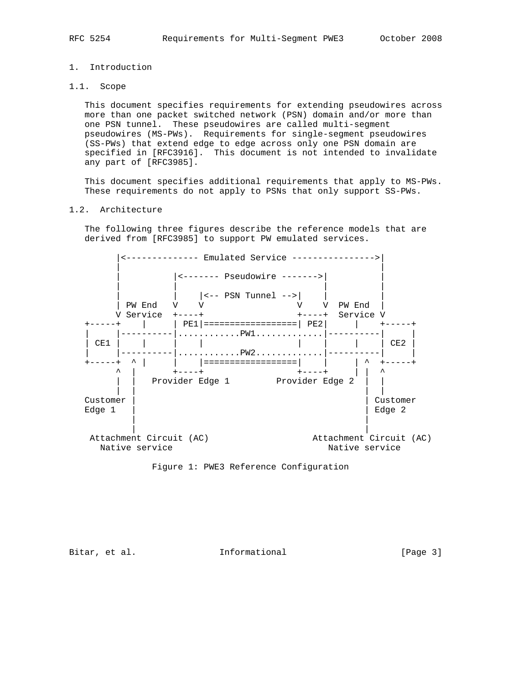# 1. Introduction

1.1. Scope

 This document specifies requirements for extending pseudowires across more than one packet switched network (PSN) domain and/or more than one PSN tunnel. These pseudowires are called multi-segment pseudowires (MS-PWs). Requirements for single-segment pseudowires (SS-PWs) that extend edge to edge across only one PSN domain are specified in [RFC3916]. This document is not intended to invalidate any part of [RFC3985].

 This document specifies additional requirements that apply to MS-PWs. These requirements do not apply to PSNs that only support SS-PWs.

# 1.2. Architecture

 The following three figures describe the reference models that are derived from [RFC3985] to support PW emulated services.





Bitar, et al. 1nformational 1999 [Page 3]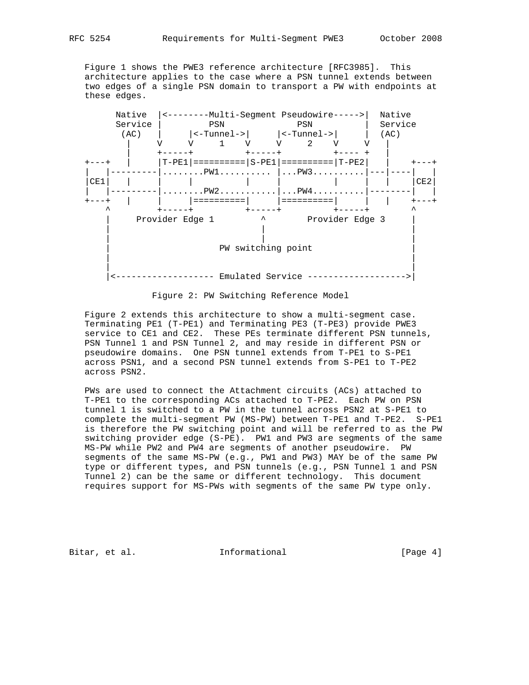Figure 1 shows the PWE3 reference architecture [RFC3985]. This architecture applies to the case where a PSN tunnel extends between two edges of a single PSN domain to transport a PW with endpoints at these edges.



Figure 2: PW Switching Reference Model

 Figure 2 extends this architecture to show a multi-segment case. Terminating PE1 (T-PE1) and Terminating PE3 (T-PE3) provide PWE3 service to CE1 and CE2. These PEs terminate different PSN tunnels, PSN Tunnel 1 and PSN Tunnel 2, and may reside in different PSN or pseudowire domains. One PSN tunnel extends from T-PE1 to S-PE1 across PSN1, and a second PSN tunnel extends from S-PE1 to T-PE2 across PSN2.

 PWs are used to connect the Attachment circuits (ACs) attached to T-PE1 to the corresponding ACs attached to T-PE2. Each PW on PSN tunnel 1 is switched to a PW in the tunnel across PSN2 at S-PE1 to complete the multi-segment PW (MS-PW) between T-PE1 and T-PE2. S-PE1 is therefore the PW switching point and will be referred to as the PW switching provider edge (S-PE). PW1 and PW3 are segments of the same MS-PW while PW2 and PW4 are segments of another pseudowire. PW segments of the same MS-PW (e.g., PW1 and PW3) MAY be of the same PW type or different types, and PSN tunnels (e.g., PSN Tunnel 1 and PSN Tunnel 2) can be the same or different technology. This document requires support for MS-PWs with segments of the same PW type only.

Bitar, et al. 1nformational 1999 [Page 4]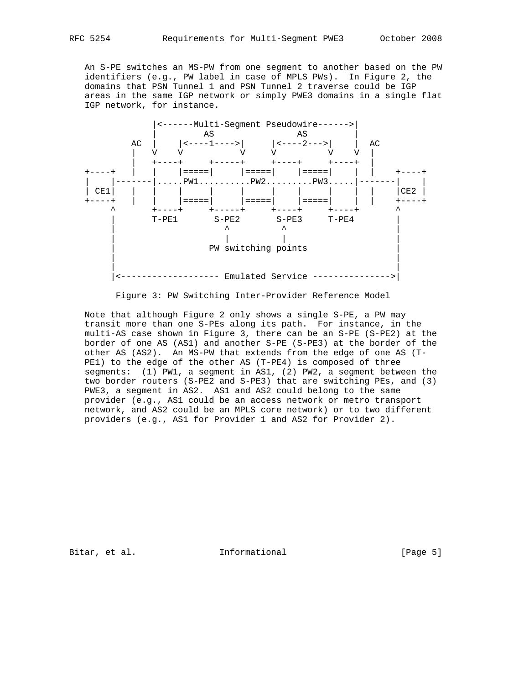An S-PE switches an MS-PW from one segment to another based on the PW identifiers (e.g., PW label in case of MPLS PWs). In Figure 2, the domains that PSN Tunnel 1 and PSN Tunnel 2 traverse could be IGP areas in the same IGP network or simply PWE3 domains in a single flat IGP network, for instance.



Figure 3: PW Switching Inter-Provider Reference Model

 Note that although Figure 2 only shows a single S-PE, a PW may transit more than one S-PEs along its path. For instance, in the multi-AS case shown in Figure 3, there can be an S-PE (S-PE2) at the border of one AS (AS1) and another S-PE (S-PE3) at the border of the other AS (AS2). An MS-PW that extends from the edge of one AS (T- PE1) to the edge of the other AS (T-PE4) is composed of three segments: (1) PW1, a segment in AS1, (2) PW2, a segment between the two border routers (S-PE2 and S-PE3) that are switching PEs, and (3) PWE3, a segment in AS2. AS1 and AS2 could belong to the same provider (e.g., AS1 could be an access network or metro transport network, and AS2 could be an MPLS core network) or to two different providers (e.g., AS1 for Provider 1 and AS2 for Provider 2).

Bitar, et al. 1nformational 1999 [Page 5]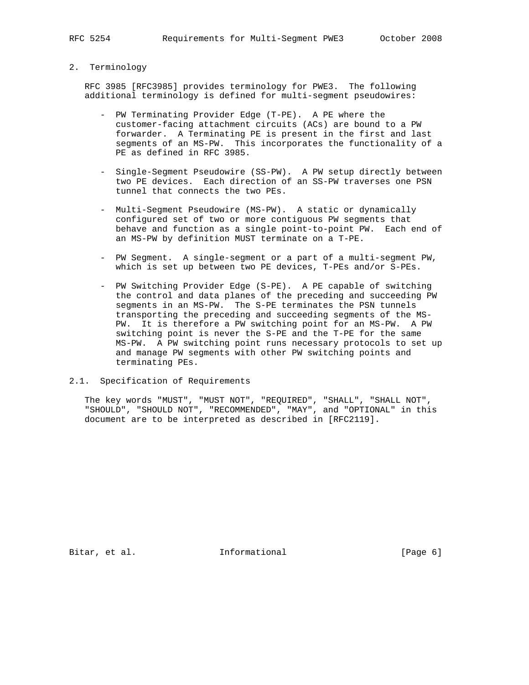#### 2. Terminology

 RFC 3985 [RFC3985] provides terminology for PWE3. The following additional terminology is defined for multi-segment pseudowires:

- PW Terminating Provider Edge (T-PE). A PE where the customer-facing attachment circuits (ACs) are bound to a PW forwarder. A Terminating PE is present in the first and last segments of an MS-PW. This incorporates the functionality of a PE as defined in RFC 3985.
- Single-Segment Pseudowire (SS-PW). A PW setup directly between two PE devices. Each direction of an SS-PW traverses one PSN tunnel that connects the two PEs.
- Multi-Segment Pseudowire (MS-PW). A static or dynamically configured set of two or more contiguous PW segments that behave and function as a single point-to-point PW. Each end of an MS-PW by definition MUST terminate on a T-PE.
- PW Segment. A single-segment or a part of a multi-segment PW, which is set up between two PE devices, T-PEs and/or S-PEs.
- PW Switching Provider Edge (S-PE). A PE capable of switching the control and data planes of the preceding and succeeding PW segments in an MS-PW. The S-PE terminates the PSN tunnels transporting the preceding and succeeding segments of the MS- PW. It is therefore a PW switching point for an MS-PW. A PW switching point is never the S-PE and the T-PE for the same MS-PW. A PW switching point runs necessary protocols to set up and manage PW segments with other PW switching points and terminating PEs.

#### 2.1. Specification of Requirements

 The key words "MUST", "MUST NOT", "REQUIRED", "SHALL", "SHALL NOT", "SHOULD", "SHOULD NOT", "RECOMMENDED", "MAY", and "OPTIONAL" in this document are to be interpreted as described in [RFC2119].

Bitar, et al. 1nformational 1999 [Page 6]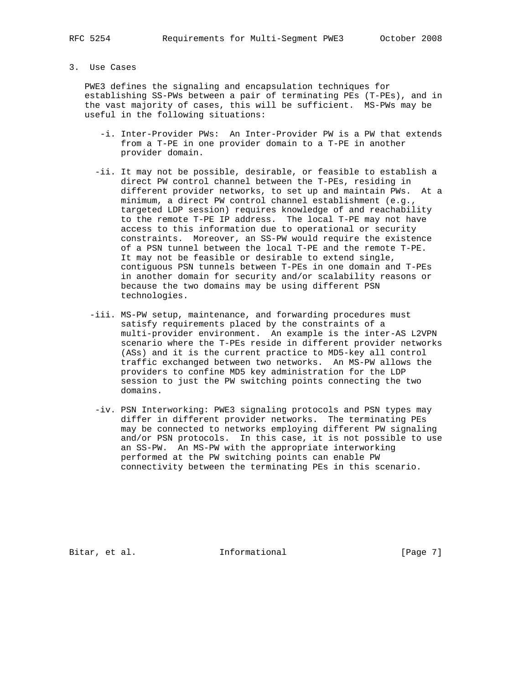# 3. Use Cases

 PWE3 defines the signaling and encapsulation techniques for establishing SS-PWs between a pair of terminating PEs (T-PEs), and in the vast majority of cases, this will be sufficient. MS-PWs may be useful in the following situations:

- -i. Inter-Provider PWs: An Inter-Provider PW is a PW that extends from a T-PE in one provider domain to a T-PE in another provider domain.
- -ii. It may not be possible, desirable, or feasible to establish a direct PW control channel between the T-PEs, residing in different provider networks, to set up and maintain PWs. At a minimum, a direct PW control channel establishment (e.g., targeted LDP session) requires knowledge of and reachability to the remote T-PE IP address. The local T-PE may not have access to this information due to operational or security constraints. Moreover, an SS-PW would require the existence of a PSN tunnel between the local T-PE and the remote T-PE. It may not be feasible or desirable to extend single, contiguous PSN tunnels between T-PEs in one domain and T-PEs in another domain for security and/or scalability reasons or because the two domains may be using different PSN technologies.
- -iii. MS-PW setup, maintenance, and forwarding procedures must satisfy requirements placed by the constraints of a multi-provider environment. An example is the inter-AS L2VPN scenario where the T-PEs reside in different provider networks (ASs) and it is the current practice to MD5-key all control traffic exchanged between two networks. An MS-PW allows the providers to confine MD5 key administration for the LDP session to just the PW switching points connecting the two domains.
- -iv. PSN Interworking: PWE3 signaling protocols and PSN types may differ in different provider networks. The terminating PEs may be connected to networks employing different PW signaling and/or PSN protocols. In this case, it is not possible to use an SS-PW. An MS-PW with the appropriate interworking performed at the PW switching points can enable PW connectivity between the terminating PEs in this scenario.

Bitar, et al. 1nformational 1999 [Page 7]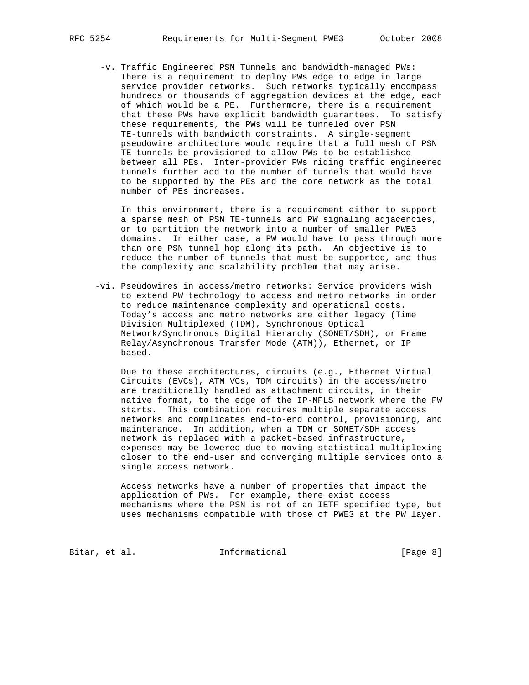-v. Traffic Engineered PSN Tunnels and bandwidth-managed PWs: There is a requirement to deploy PWs edge to edge in large service provider networks. Such networks typically encompass hundreds or thousands of aggregation devices at the edge, each of which would be a PE. Furthermore, there is a requirement that these PWs have explicit bandwidth guarantees. To satisfy these requirements, the PWs will be tunneled over PSN TE-tunnels with bandwidth constraints. A single-segment pseudowire architecture would require that a full mesh of PSN TE-tunnels be provisioned to allow PWs to be established between all PEs. Inter-provider PWs riding traffic engineered tunnels further add to the number of tunnels that would have to be supported by the PEs and the core network as the total number of PEs increases.

 In this environment, there is a requirement either to support a sparse mesh of PSN TE-tunnels and PW signaling adjacencies, or to partition the network into a number of smaller PWE3 domains. In either case, a PW would have to pass through more than one PSN tunnel hop along its path. An objective is to reduce the number of tunnels that must be supported, and thus the complexity and scalability problem that may arise.

 -vi. Pseudowires in access/metro networks: Service providers wish to extend PW technology to access and metro networks in order to reduce maintenance complexity and operational costs. Today's access and metro networks are either legacy (Time Division Multiplexed (TDM), Synchronous Optical Network/Synchronous Digital Hierarchy (SONET/SDH), or Frame Relay/Asynchronous Transfer Mode (ATM)), Ethernet, or IP based.

 Due to these architectures, circuits (e.g., Ethernet Virtual Circuits (EVCs), ATM VCs, TDM circuits) in the access/metro are traditionally handled as attachment circuits, in their native format, to the edge of the IP-MPLS network where the PW starts. This combination requires multiple separate access networks and complicates end-to-end control, provisioning, and maintenance. In addition, when a TDM or SONET/SDH access network is replaced with a packet-based infrastructure, expenses may be lowered due to moving statistical multiplexing closer to the end-user and converging multiple services onto a single access network.

 Access networks have a number of properties that impact the application of PWs. For example, there exist access mechanisms where the PSN is not of an IETF specified type, but uses mechanisms compatible with those of PWE3 at the PW layer.

Bitar, et al. 1nformational [Page 8]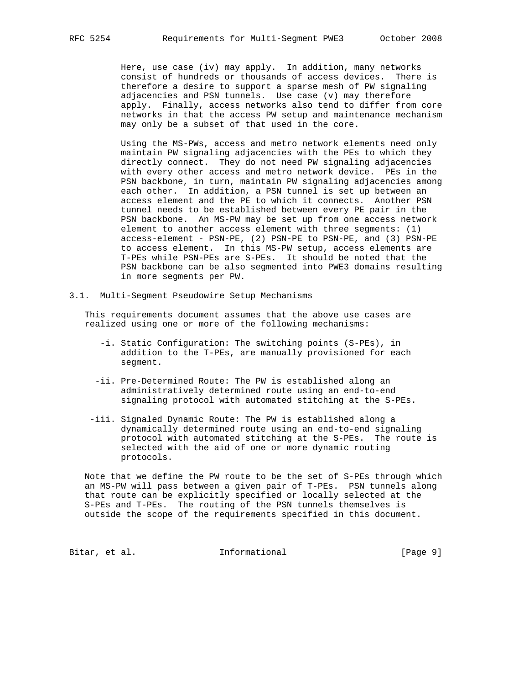Here, use case (iv) may apply. In addition, many networks consist of hundreds or thousands of access devices. There is therefore a desire to support a sparse mesh of PW signaling adjacencies and PSN tunnels. Use case (v) may therefore apply. Finally, access networks also tend to differ from core networks in that the access PW setup and maintenance mechanism may only be a subset of that used in the core.

 Using the MS-PWs, access and metro network elements need only maintain PW signaling adjacencies with the PEs to which they directly connect. They do not need PW signaling adjacencies with every other access and metro network device. PEs in the PSN backbone, in turn, maintain PW signaling adjacencies among each other. In addition, a PSN tunnel is set up between an access element and the PE to which it connects. Another PSN tunnel needs to be established between every PE pair in the PSN backbone. An MS-PW may be set up from one access network element to another access element with three segments: (1) access-element - PSN-PE, (2) PSN-PE to PSN-PE, and (3) PSN-PE to access element. In this MS-PW setup, access elements are T-PEs while PSN-PEs are S-PEs. It should be noted that the PSN backbone can be also segmented into PWE3 domains resulting in more segments per PW.

3.1. Multi-Segment Pseudowire Setup Mechanisms

 This requirements document assumes that the above use cases are realized using one or more of the following mechanisms:

- -i. Static Configuration: The switching points (S-PEs), in addition to the T-PEs, are manually provisioned for each segment.
- -ii. Pre-Determined Route: The PW is established along an administratively determined route using an end-to-end signaling protocol with automated stitching at the S-PEs.
- -iii. Signaled Dynamic Route: The PW is established along a dynamically determined route using an end-to-end signaling protocol with automated stitching at the S-PEs. The route is selected with the aid of one or more dynamic routing protocols.

 Note that we define the PW route to be the set of S-PEs through which an MS-PW will pass between a given pair of T-PEs. PSN tunnels along that route can be explicitly specified or locally selected at the S-PEs and T-PEs. The routing of the PSN tunnels themselves is outside the scope of the requirements specified in this document.

Bitar, et al. 1nformational [Page 9]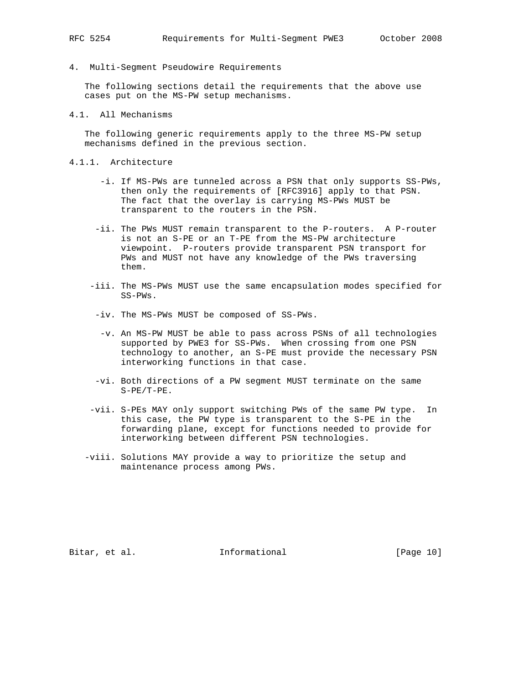4. Multi-Segment Pseudowire Requirements

 The following sections detail the requirements that the above use cases put on the MS-PW setup mechanisms.

4.1. All Mechanisms

 The following generic requirements apply to the three MS-PW setup mechanisms defined in the previous section.

- 4.1.1. Architecture
	- -i. If MS-PWs are tunneled across a PSN that only supports SS-PWs, then only the requirements of [RFC3916] apply to that PSN. The fact that the overlay is carrying MS-PWs MUST be transparent to the routers in the PSN.
	- -ii. The PWs MUST remain transparent to the P-routers. A P-router is not an S-PE or an T-PE from the MS-PW architecture viewpoint. P-routers provide transparent PSN transport for PWs and MUST not have any knowledge of the PWs traversing them.
	- -iii. The MS-PWs MUST use the same encapsulation modes specified for SS-PWs.
	- -iv. The MS-PWs MUST be composed of SS-PWs.
	- -v. An MS-PW MUST be able to pass across PSNs of all technologies supported by PWE3 for SS-PWs. When crossing from one PSN technology to another, an S-PE must provide the necessary PSN interworking functions in that case.
	- -vi. Both directions of a PW segment MUST terminate on the same S-PE/T-PE.
	- -vii. S-PEs MAY only support switching PWs of the same PW type. In this case, the PW type is transparent to the S-PE in the forwarding plane, except for functions needed to provide for interworking between different PSN technologies.
	- -viii. Solutions MAY provide a way to prioritize the setup and maintenance process among PWs.

Bitar, et al. 10 mm informational 1999 [Page 10]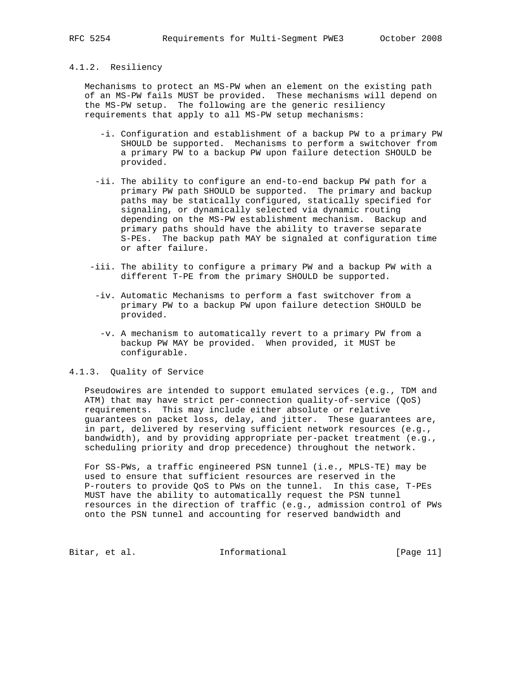## 4.1.2. Resiliency

 Mechanisms to protect an MS-PW when an element on the existing path of an MS-PW fails MUST be provided. These mechanisms will depend on the MS-PW setup. The following are the generic resiliency requirements that apply to all MS-PW setup mechanisms:

- -i. Configuration and establishment of a backup PW to a primary PW SHOULD be supported. Mechanisms to perform a switchover from a primary PW to a backup PW upon failure detection SHOULD be provided.
- -ii. The ability to configure an end-to-end backup PW path for a primary PW path SHOULD be supported. The primary and backup paths may be statically configured, statically specified for signaling, or dynamically selected via dynamic routing depending on the MS-PW establishment mechanism. Backup and primary paths should have the ability to traverse separate S-PEs. The backup path MAY be signaled at configuration time or after failure.
- -iii. The ability to configure a primary PW and a backup PW with a different T-PE from the primary SHOULD be supported.
- -iv. Automatic Mechanisms to perform a fast switchover from a primary PW to a backup PW upon failure detection SHOULD be provided.
- -v. A mechanism to automatically revert to a primary PW from a backup PW MAY be provided. When provided, it MUST be configurable.

#### 4.1.3. Quality of Service

 Pseudowires are intended to support emulated services (e.g., TDM and ATM) that may have strict per-connection quality-of-service (QoS) requirements. This may include either absolute or relative guarantees on packet loss, delay, and jitter. These guarantees are, in part, delivered by reserving sufficient network resources (e.g., bandwidth), and by providing appropriate per-packet treatment (e.g., scheduling priority and drop precedence) throughout the network.

 For SS-PWs, a traffic engineered PSN tunnel (i.e., MPLS-TE) may be used to ensure that sufficient resources are reserved in the P-routers to provide QoS to PWs on the tunnel. In this case, T-PEs MUST have the ability to automatically request the PSN tunnel resources in the direction of traffic (e.g., admission control of PWs onto the PSN tunnel and accounting for reserved bandwidth and

Bitar, et al. 1nformational [Page 11]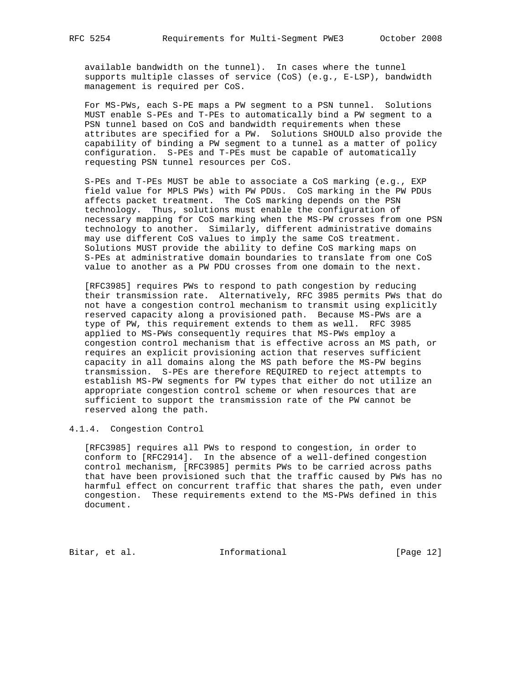available bandwidth on the tunnel). In cases where the tunnel supports multiple classes of service (CoS) (e.g., E-LSP), bandwidth management is required per CoS.

 For MS-PWs, each S-PE maps a PW segment to a PSN tunnel. Solutions MUST enable S-PEs and T-PEs to automatically bind a PW segment to a PSN tunnel based on CoS and bandwidth requirements when these attributes are specified for a PW. Solutions SHOULD also provide the capability of binding a PW segment to a tunnel as a matter of policy configuration. S-PEs and T-PEs must be capable of automatically requesting PSN tunnel resources per CoS.

 S-PEs and T-PEs MUST be able to associate a CoS marking (e.g., EXP field value for MPLS PWs) with PW PDUs. CoS marking in the PW PDUs affects packet treatment. The CoS marking depends on the PSN technology. Thus, solutions must enable the configuration of necessary mapping for CoS marking when the MS-PW crosses from one PSN technology to another. Similarly, different administrative domains may use different CoS values to imply the same CoS treatment. Solutions MUST provide the ability to define CoS marking maps on S-PEs at administrative domain boundaries to translate from one CoS value to another as a PW PDU crosses from one domain to the next.

 [RFC3985] requires PWs to respond to path congestion by reducing their transmission rate. Alternatively, RFC 3985 permits PWs that do not have a congestion control mechanism to transmit using explicitly reserved capacity along a provisioned path. Because MS-PWs are a type of PW, this requirement extends to them as well. RFC 3985 applied to MS-PWs consequently requires that MS-PWs employ a congestion control mechanism that is effective across an MS path, or requires an explicit provisioning action that reserves sufficient capacity in all domains along the MS path before the MS-PW begins transmission. S-PEs are therefore REQUIRED to reject attempts to establish MS-PW segments for PW types that either do not utilize an appropriate congestion control scheme or when resources that are sufficient to support the transmission rate of the PW cannot be reserved along the path.

4.1.4. Congestion Control

 [RFC3985] requires all PWs to respond to congestion, in order to conform to [RFC2914]. In the absence of a well-defined congestion control mechanism, [RFC3985] permits PWs to be carried across paths that have been provisioned such that the traffic caused by PWs has no harmful effect on concurrent traffic that shares the path, even under congestion. These requirements extend to the MS-PWs defined in this document.

Bitar, et al. 1nformational [Page 12]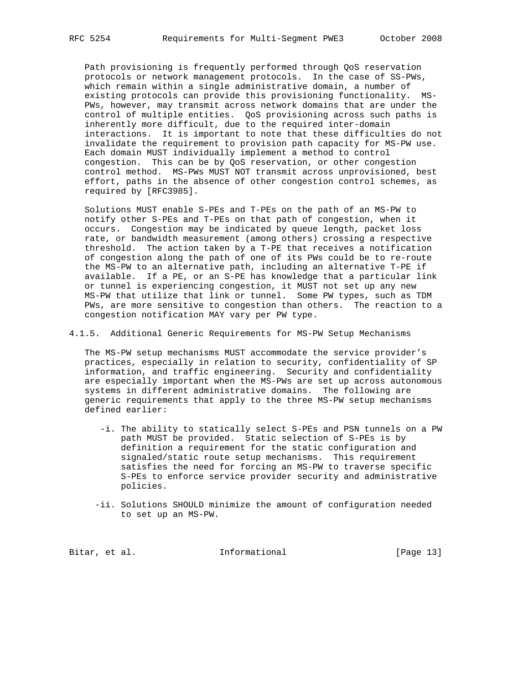Path provisioning is frequently performed through QoS reservation protocols or network management protocols. In the case of SS-PWs, which remain within a single administrative domain, a number of existing protocols can provide this provisioning functionality. MS- PWs, however, may transmit across network domains that are under the control of multiple entities. QoS provisioning across such paths is inherently more difficult, due to the required inter-domain interactions. It is important to note that these difficulties do not invalidate the requirement to provision path capacity for MS-PW use. Each domain MUST individually implement a method to control congestion. This can be by QoS reservation, or other congestion control method. MS-PWs MUST NOT transmit across unprovisioned, best effort, paths in the absence of other congestion control schemes, as required by [RFC3985].

 Solutions MUST enable S-PEs and T-PEs on the path of an MS-PW to notify other S-PEs and T-PEs on that path of congestion, when it occurs. Congestion may be indicated by queue length, packet loss rate, or bandwidth measurement (among others) crossing a respective threshold. The action taken by a T-PE that receives a notification of congestion along the path of one of its PWs could be to re-route the MS-PW to an alternative path, including an alternative T-PE if available. If a PE, or an S-PE has knowledge that a particular link or tunnel is experiencing congestion, it MUST not set up any new MS-PW that utilize that link or tunnel. Some PW types, such as TDM PWs, are more sensitive to congestion than others. The reaction to a congestion notification MAY vary per PW type.

4.1.5. Additional Generic Requirements for MS-PW Setup Mechanisms

 The MS-PW setup mechanisms MUST accommodate the service provider's practices, especially in relation to security, confidentiality of SP information, and traffic engineering. Security and confidentiality are especially important when the MS-PWs are set up across autonomous systems in different administrative domains. The following are generic requirements that apply to the three MS-PW setup mechanisms defined earlier:

- -i. The ability to statically select S-PEs and PSN tunnels on a PW path MUST be provided. Static selection of S-PEs is by definition a requirement for the static configuration and signaled/static route setup mechanisms. This requirement satisfies the need for forcing an MS-PW to traverse specific S-PEs to enforce service provider security and administrative policies.
- -ii. Solutions SHOULD minimize the amount of configuration needed to set up an MS-PW.

Bitar, et al. 1nformational [Page 13]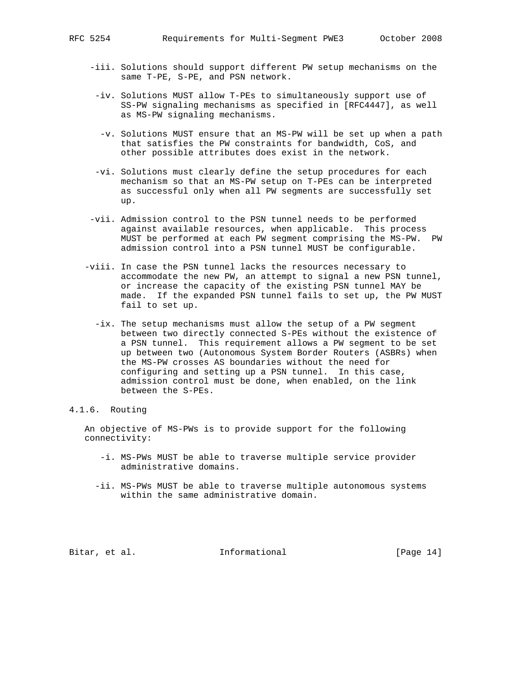- -iii. Solutions should support different PW setup mechanisms on the same T-PE, S-PE, and PSN network.
- -iv. Solutions MUST allow T-PEs to simultaneously support use of SS-PW signaling mechanisms as specified in [RFC4447], as well as MS-PW signaling mechanisms.
- -v. Solutions MUST ensure that an MS-PW will be set up when a path that satisfies the PW constraints for bandwidth, CoS, and other possible attributes does exist in the network.
- -vi. Solutions must clearly define the setup procedures for each mechanism so that an MS-PW setup on T-PEs can be interpreted as successful only when all PW segments are successfully set up.
- -vii. Admission control to the PSN tunnel needs to be performed against available resources, when applicable. This process MUST be performed at each PW segment comprising the MS-PW. PW admission control into a PSN tunnel MUST be configurable.
- -viii. In case the PSN tunnel lacks the resources necessary to accommodate the new PW, an attempt to signal a new PSN tunnel, or increase the capacity of the existing PSN tunnel MAY be made. If the expanded PSN tunnel fails to set up, the PW MUST fail to set up.
	- -ix. The setup mechanisms must allow the setup of a PW segment between two directly connected S-PEs without the existence of a PSN tunnel. This requirement allows a PW segment to be set up between two (Autonomous System Border Routers (ASBRs) when the MS-PW crosses AS boundaries without the need for configuring and setting up a PSN tunnel. In this case, admission control must be done, when enabled, on the link between the S-PEs.
- 4.1.6. Routing

 An objective of MS-PWs is to provide support for the following connectivity:

- -i. MS-PWs MUST be able to traverse multiple service provider administrative domains.
- -ii. MS-PWs MUST be able to traverse multiple autonomous systems within the same administrative domain.

Bitar, et al. 10 metal informational 10 metal [Page 14]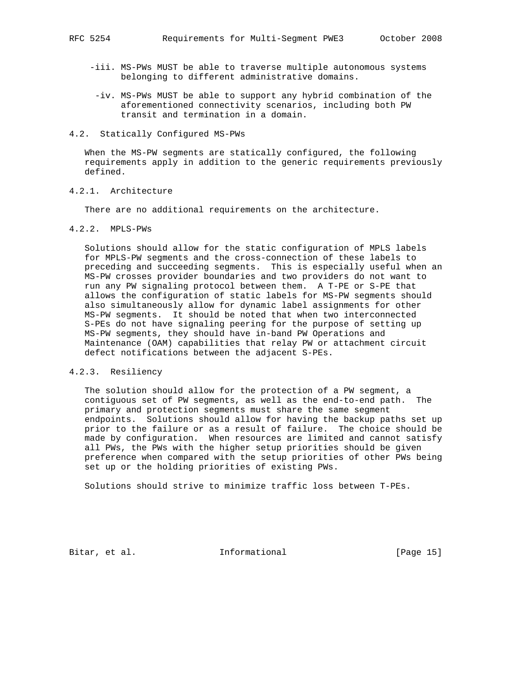- -iii. MS-PWs MUST be able to traverse multiple autonomous systems belonging to different administrative domains.
- -iv. MS-PWs MUST be able to support any hybrid combination of the aforementioned connectivity scenarios, including both PW transit and termination in a domain.
- 4.2. Statically Configured MS-PWs

 When the MS-PW segments are statically configured, the following requirements apply in addition to the generic requirements previously defined.

# 4.2.1. Architecture

There are no additional requirements on the architecture.

# 4.2.2. MPLS-PWs

 Solutions should allow for the static configuration of MPLS labels for MPLS-PW segments and the cross-connection of these labels to preceding and succeeding segments. This is especially useful when an MS-PW crosses provider boundaries and two providers do not want to run any PW signaling protocol between them. A T-PE or S-PE that allows the configuration of static labels for MS-PW segments should also simultaneously allow for dynamic label assignments for other MS-PW segments. It should be noted that when two interconnected S-PEs do not have signaling peering for the purpose of setting up MS-PW segments, they should have in-band PW Operations and Maintenance (OAM) capabilities that relay PW or attachment circuit defect notifications between the adjacent S-PEs.

## 4.2.3. Resiliency

 The solution should allow for the protection of a PW segment, a contiguous set of PW segments, as well as the end-to-end path. The primary and protection segments must share the same segment endpoints. Solutions should allow for having the backup paths set up prior to the failure or as a result of failure. The choice should be made by configuration. When resources are limited and cannot satisfy all PWs, the PWs with the higher setup priorities should be given preference when compared with the setup priorities of other PWs being set up or the holding priorities of existing PWs.

Solutions should strive to minimize traffic loss between T-PEs.

Bitar, et al. 1nformational [Page 15]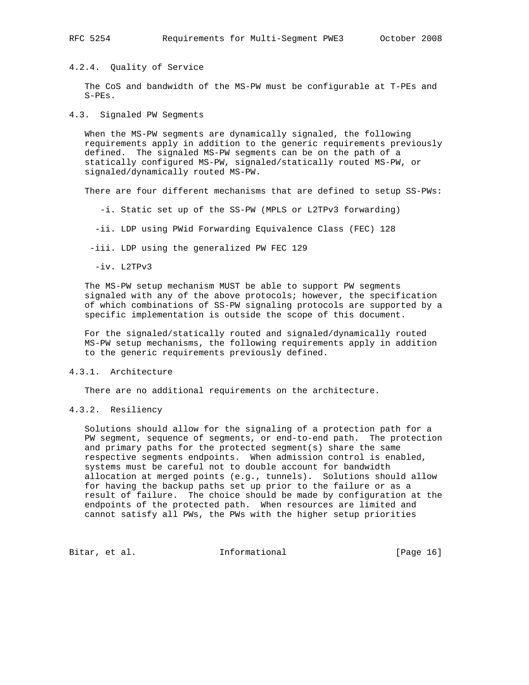# 4.2.4. Quality of Service

 The CoS and bandwidth of the MS-PW must be configurable at T-PEs and S-PEs.

4.3. Signaled PW Segments

 When the MS-PW segments are dynamically signaled, the following requirements apply in addition to the generic requirements previously defined. The signaled MS-PW segments can be on the path of a statically configured MS-PW, signaled/statically routed MS-PW, or signaled/dynamically routed MS-PW.

There are four different mechanisms that are defined to setup SS-PWs:

-i. Static set up of the SS-PW (MPLS or L2TPv3 forwarding)

-ii. LDP using PWid Forwarding Equivalence Class (FEC) 128

-iii. LDP using the generalized PW FEC 129

-iv. L2TPv3

 The MS-PW setup mechanism MUST be able to support PW segments signaled with any of the above protocols; however, the specification of which combinations of SS-PW signaling protocols are supported by a specific implementation is outside the scope of this document.

 For the signaled/statically routed and signaled/dynamically routed MS-PW setup mechanisms, the following requirements apply in addition to the generic requirements previously defined.

4.3.1. Architecture

There are no additional requirements on the architecture.

4.3.2. Resiliency

 Solutions should allow for the signaling of a protection path for a PW segment, sequence of segments, or end-to-end path. The protection and primary paths for the protected segment(s) share the same respective segments endpoints. When admission control is enabled, systems must be careful not to double account for bandwidth allocation at merged points (e.g., tunnels). Solutions should allow for having the backup paths set up prior to the failure or as a result of failure. The choice should be made by configuration at the endpoints of the protected path. When resources are limited and cannot satisfy all PWs, the PWs with the higher setup priorities

Bitar, et al. 1nformational [Page 16]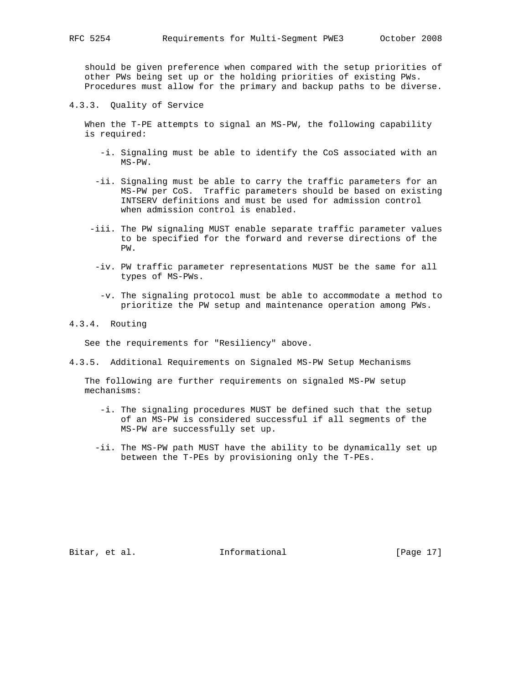should be given preference when compared with the setup priorities of other PWs being set up or the holding priorities of existing PWs. Procedures must allow for the primary and backup paths to be diverse.

4.3.3. Quality of Service

 When the T-PE attempts to signal an MS-PW, the following capability is required:

- -i. Signaling must be able to identify the CoS associated with an MS-PW.
- -ii. Signaling must be able to carry the traffic parameters for an MS-PW per CoS. Traffic parameters should be based on existing INTSERV definitions and must be used for admission control when admission control is enabled.
- -iii. The PW signaling MUST enable separate traffic parameter values to be specified for the forward and reverse directions of the PW.
- -iv. PW traffic parameter representations MUST be the same for all types of MS-PWs.
- -v. The signaling protocol must be able to accommodate a method to prioritize the PW setup and maintenance operation among PWs.

#### 4.3.4. Routing

See the requirements for "Resiliency" above.

4.3.5. Additional Requirements on Signaled MS-PW Setup Mechanisms

 The following are further requirements on signaled MS-PW setup mechanisms:

- -i. The signaling procedures MUST be defined such that the setup of an MS-PW is considered successful if all segments of the MS-PW are successfully set up.
- -ii. The MS-PW path MUST have the ability to be dynamically set up between the T-PEs by provisioning only the T-PEs.

Bitar, et al. 10 mm informational 1999 [Page 17]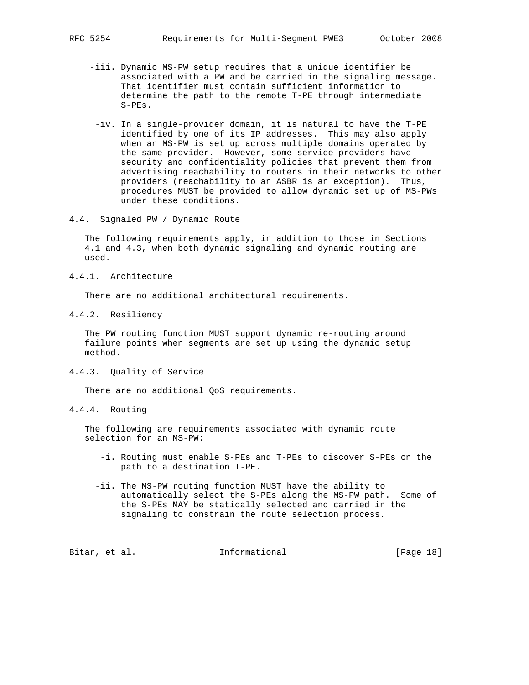- -iii. Dynamic MS-PW setup requires that a unique identifier be associated with a PW and be carried in the signaling message. That identifier must contain sufficient information to determine the path to the remote T-PE through intermediate S-PEs.
- -iv. In a single-provider domain, it is natural to have the T-PE identified by one of its IP addresses. This may also apply when an MS-PW is set up across multiple domains operated by the same provider. However, some service providers have security and confidentiality policies that prevent them from advertising reachability to routers in their networks to other providers (reachability to an ASBR is an exception). Thus, procedures MUST be provided to allow dynamic set up of MS-PWs under these conditions.
- 4.4. Signaled PW / Dynamic Route

 The following requirements apply, in addition to those in Sections 4.1 and 4.3, when both dynamic signaling and dynamic routing are used.

4.4.1. Architecture

There are no additional architectural requirements.

4.4.2. Resiliency

 The PW routing function MUST support dynamic re-routing around failure points when segments are set up using the dynamic setup method.

4.4.3. Quality of Service

There are no additional QoS requirements.

4.4.4. Routing

 The following are requirements associated with dynamic route selection for an MS-PW:

- -i. Routing must enable S-PEs and T-PEs to discover S-PEs on the path to a destination T-PE.
- -ii. The MS-PW routing function MUST have the ability to automatically select the S-PEs along the MS-PW path. Some of the S-PEs MAY be statically selected and carried in the signaling to constrain the route selection process.

Bitar, et al. **Informational** [Page 18]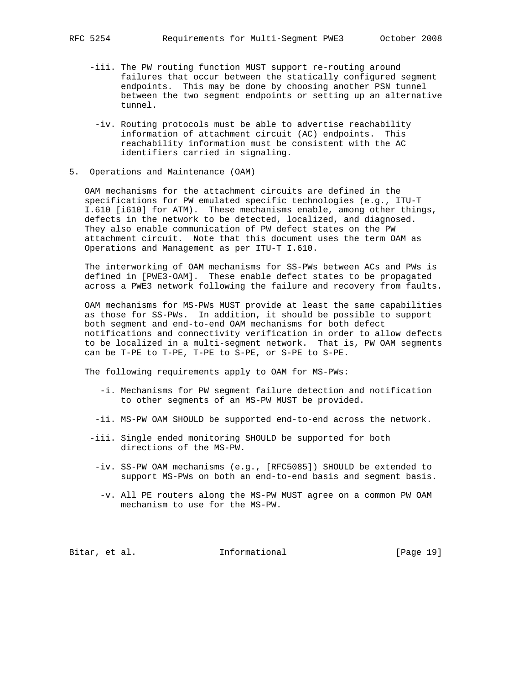- -iii. The PW routing function MUST support re-routing around failures that occur between the statically configured segment endpoints. This may be done by choosing another PSN tunnel between the two segment endpoints or setting up an alternative tunnel.
- -iv. Routing protocols must be able to advertise reachability information of attachment circuit (AC) endpoints. This reachability information must be consistent with the AC identifiers carried in signaling.
- 5. Operations and Maintenance (OAM)

 OAM mechanisms for the attachment circuits are defined in the specifications for PW emulated specific technologies (e.g., ITU-T I.610 [i610] for ATM). These mechanisms enable, among other things, defects in the network to be detected, localized, and diagnosed. They also enable communication of PW defect states on the PW attachment circuit. Note that this document uses the term OAM as Operations and Management as per ITU-T I.610.

 The interworking of OAM mechanisms for SS-PWs between ACs and PWs is defined in [PWE3-OAM]. These enable defect states to be propagated across a PWE3 network following the failure and recovery from faults.

 OAM mechanisms for MS-PWs MUST provide at least the same capabilities as those for SS-PWs. In addition, it should be possible to support both segment and end-to-end OAM mechanisms for both defect notifications and connectivity verification in order to allow defects to be localized in a multi-segment network. That is, PW OAM segments can be T-PE to T-PE, T-PE to S-PE, or S-PE to S-PE.

The following requirements apply to OAM for MS-PWs:

- -i. Mechanisms for PW segment failure detection and notification to other segments of an MS-PW MUST be provided.
- -ii. MS-PW OAM SHOULD be supported end-to-end across the network.
- -iii. Single ended monitoring SHOULD be supported for both directions of the MS-PW.
- -iv. SS-PW OAM mechanisms (e.g., [RFC5085]) SHOULD be extended to support MS-PWs on both an end-to-end basis and segment basis.
	- -v. All PE routers along the MS-PW MUST agree on a common PW OAM mechanism to use for the MS-PW.

Bitar, et al. 1nformational [Page 19]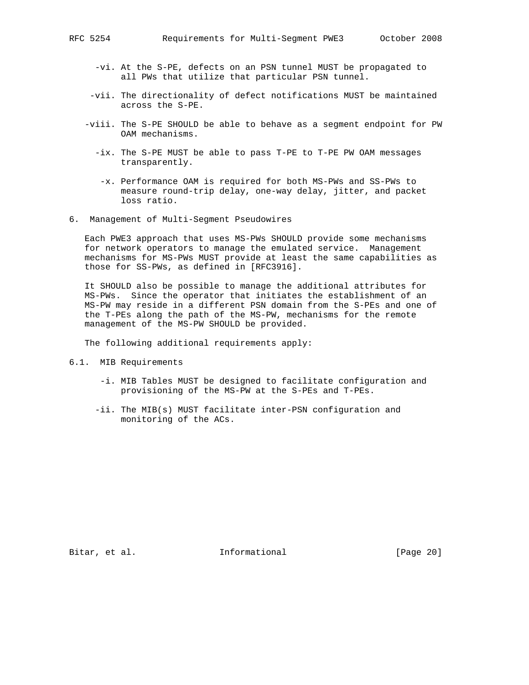- -vi. At the S-PE, defects on an PSN tunnel MUST be propagated to all PWs that utilize that particular PSN tunnel.
- -vii. The directionality of defect notifications MUST be maintained across the S-PE.
- -viii. The S-PE SHOULD be able to behave as a segment endpoint for PW OAM mechanisms.
	- -ix. The S-PE MUST be able to pass T-PE to T-PE PW OAM messages transparently.
	- -x. Performance OAM is required for both MS-PWs and SS-PWs to measure round-trip delay, one-way delay, jitter, and packet loss ratio.
- 6. Management of Multi-Segment Pseudowires

 Each PWE3 approach that uses MS-PWs SHOULD provide some mechanisms for network operators to manage the emulated service. Management mechanisms for MS-PWs MUST provide at least the same capabilities as those for SS-PWs, as defined in [RFC3916].

 It SHOULD also be possible to manage the additional attributes for MS-PWs. Since the operator that initiates the establishment of an MS-PW may reside in a different PSN domain from the S-PEs and one of the T-PEs along the path of the MS-PW, mechanisms for the remote management of the MS-PW SHOULD be provided.

The following additional requirements apply:

- 6.1. MIB Requirements
	- -i. MIB Tables MUST be designed to facilitate configuration and provisioning of the MS-PW at the S-PEs and T-PEs.
	- -ii. The MIB(s) MUST facilitate inter-PSN configuration and monitoring of the ACs.

Bitar, et al. 1nformational [Page 20]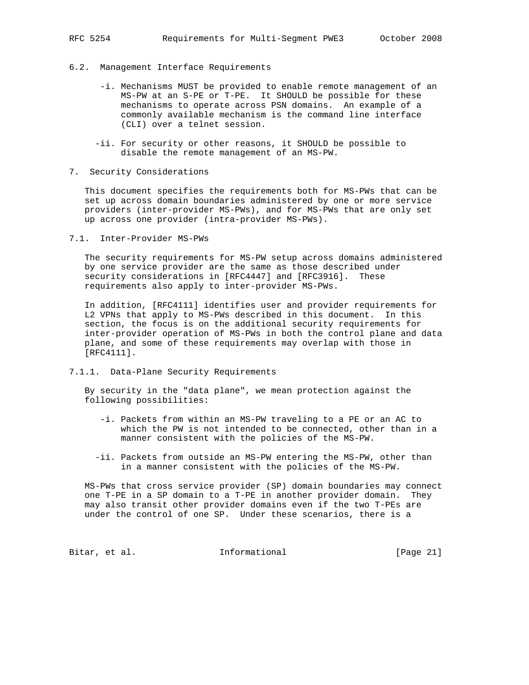### 6.2. Management Interface Requirements

- -i. Mechanisms MUST be provided to enable remote management of an MS-PW at an S-PE or T-PE. It SHOULD be possible for these mechanisms to operate across PSN domains. An example of a commonly available mechanism is the command line interface (CLI) over a telnet session.
- -ii. For security or other reasons, it SHOULD be possible to disable the remote management of an MS-PW.
- 7. Security Considerations

 This document specifies the requirements both for MS-PWs that can be set up across domain boundaries administered by one or more service providers (inter-provider MS-PWs), and for MS-PWs that are only set up across one provider (intra-provider MS-PWs).

7.1. Inter-Provider MS-PWs

 The security requirements for MS-PW setup across domains administered by one service provider are the same as those described under security considerations in [RFC4447] and [RFC3916]. These requirements also apply to inter-provider MS-PWs.

 In addition, [RFC4111] identifies user and provider requirements for L2 VPNs that apply to MS-PWs described in this document. In this section, the focus is on the additional security requirements for inter-provider operation of MS-PWs in both the control plane and data plane, and some of these requirements may overlap with those in [RFC4111].

7.1.1. Data-Plane Security Requirements

 By security in the "data plane", we mean protection against the following possibilities:

- -i. Packets from within an MS-PW traveling to a PE or an AC to which the PW is not intended to be connected, other than in a manner consistent with the policies of the MS-PW.
- -ii. Packets from outside an MS-PW entering the MS-PW, other than in a manner consistent with the policies of the MS-PW.

 MS-PWs that cross service provider (SP) domain boundaries may connect one T-PE in a SP domain to a T-PE in another provider domain. They may also transit other provider domains even if the two T-PEs are under the control of one SP. Under these scenarios, there is a

Bitar, et al. 1nformational [Page 21]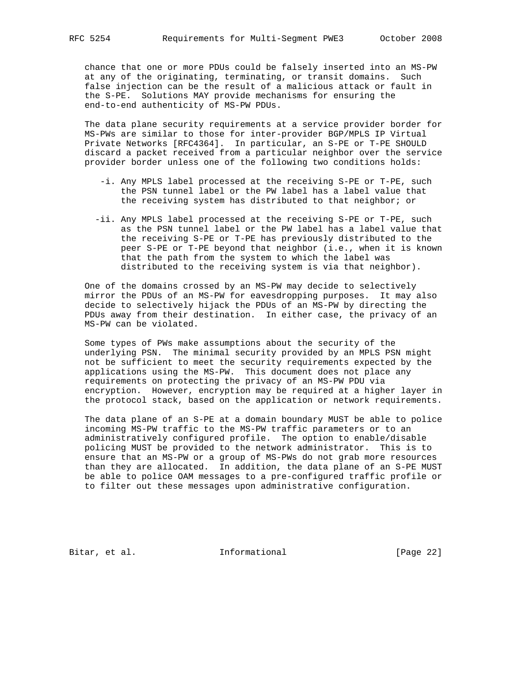chance that one or more PDUs could be falsely inserted into an MS-PW at any of the originating, terminating, or transit domains. Such false injection can be the result of a malicious attack or fault in the S-PE. Solutions MAY provide mechanisms for ensuring the end-to-end authenticity of MS-PW PDUs.

 The data plane security requirements at a service provider border for MS-PWs are similar to those for inter-provider BGP/MPLS IP Virtual Private Networks [RFC4364]. In particular, an S-PE or T-PE SHOULD discard a packet received from a particular neighbor over the service provider border unless one of the following two conditions holds:

- -i. Any MPLS label processed at the receiving S-PE or T-PE, such the PSN tunnel label or the PW label has a label value that the receiving system has distributed to that neighbor; or
- -ii. Any MPLS label processed at the receiving S-PE or T-PE, such as the PSN tunnel label or the PW label has a label value that the receiving S-PE or T-PE has previously distributed to the peer S-PE or T-PE beyond that neighbor (i.e., when it is known that the path from the system to which the label was distributed to the receiving system is via that neighbor).

 One of the domains crossed by an MS-PW may decide to selectively mirror the PDUs of an MS-PW for eavesdropping purposes. It may also decide to selectively hijack the PDUs of an MS-PW by directing the PDUs away from their destination. In either case, the privacy of an MS-PW can be violated.

 Some types of PWs make assumptions about the security of the underlying PSN. The minimal security provided by an MPLS PSN might not be sufficient to meet the security requirements expected by the applications using the MS-PW. This document does not place any requirements on protecting the privacy of an MS-PW PDU via encryption. However, encryption may be required at a higher layer in the protocol stack, based on the application or network requirements.

 The data plane of an S-PE at a domain boundary MUST be able to police incoming MS-PW traffic to the MS-PW traffic parameters or to an administratively configured profile. The option to enable/disable policing MUST be provided to the network administrator. This is to ensure that an MS-PW or a group of MS-PWs do not grab more resources than they are allocated. In addition, the data plane of an S-PE MUST be able to police OAM messages to a pre-configured traffic profile or to filter out these messages upon administrative configuration.

Bitar, et al. 1nformational [Page 22]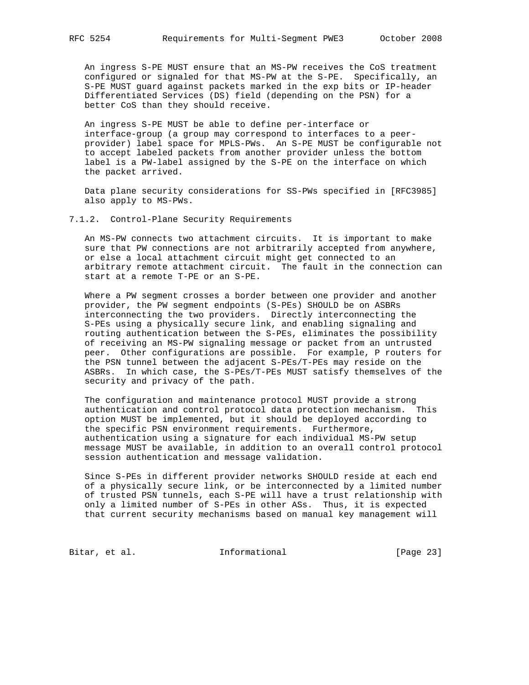An ingress S-PE MUST ensure that an MS-PW receives the CoS treatment configured or signaled for that MS-PW at the S-PE. Specifically, an S-PE MUST guard against packets marked in the exp bits or IP-header Differentiated Services (DS) field (depending on the PSN) for a better CoS than they should receive.

 An ingress S-PE MUST be able to define per-interface or interface-group (a group may correspond to interfaces to a peer provider) label space for MPLS-PWs. An S-PE MUST be configurable not to accept labeled packets from another provider unless the bottom label is a PW-label assigned by the S-PE on the interface on which the packet arrived.

 Data plane security considerations for SS-PWs specified in [RFC3985] also apply to MS-PWs.

7.1.2. Control-Plane Security Requirements

 An MS-PW connects two attachment circuits. It is important to make sure that PW connections are not arbitrarily accepted from anywhere, or else a local attachment circuit might get connected to an arbitrary remote attachment circuit. The fault in the connection can start at a remote T-PE or an S-PE.

 Where a PW segment crosses a border between one provider and another provider, the PW segment endpoints (S-PEs) SHOULD be on ASBRs interconnecting the two providers. Directly interconnecting the S-PEs using a physically secure link, and enabling signaling and routing authentication between the S-PEs, eliminates the possibility of receiving an MS-PW signaling message or packet from an untrusted peer. Other configurations are possible. For example, P routers for the PSN tunnel between the adjacent S-PEs/T-PEs may reside on the ASBRs. In which case, the S-PEs/T-PEs MUST satisfy themselves of the security and privacy of the path.

 The configuration and maintenance protocol MUST provide a strong authentication and control protocol data protection mechanism. This option MUST be implemented, but it should be deployed according to the specific PSN environment requirements. Furthermore, authentication using a signature for each individual MS-PW setup message MUST be available, in addition to an overall control protocol session authentication and message validation.

 Since S-PEs in different provider networks SHOULD reside at each end of a physically secure link, or be interconnected by a limited number of trusted PSN tunnels, each S-PE will have a trust relationship with only a limited number of S-PEs in other ASs. Thus, it is expected that current security mechanisms based on manual key management will

Bitar, et al. 1nformational [Page 23]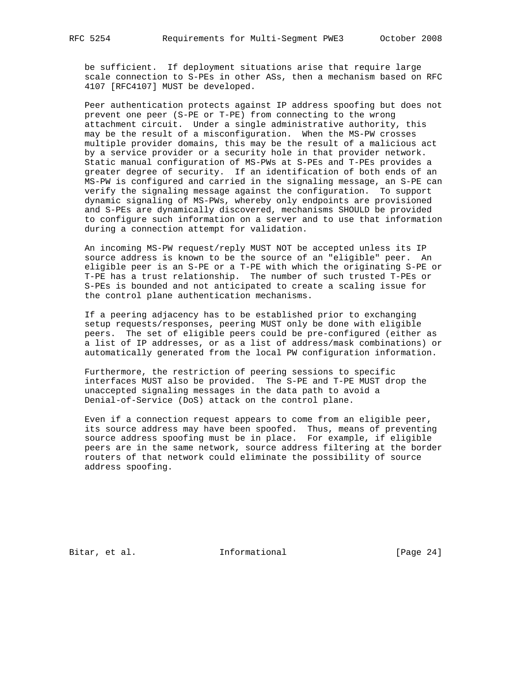be sufficient. If deployment situations arise that require large scale connection to S-PEs in other ASs, then a mechanism based on RFC 4107 [RFC4107] MUST be developed.

 Peer authentication protects against IP address spoofing but does not prevent one peer (S-PE or T-PE) from connecting to the wrong attachment circuit. Under a single administrative authority, this may be the result of a misconfiguration. When the MS-PW crosses multiple provider domains, this may be the result of a malicious act by a service provider or a security hole in that provider network. Static manual configuration of MS-PWs at S-PEs and T-PEs provides a greater degree of security. If an identification of both ends of an MS-PW is configured and carried in the signaling message, an S-PE can verify the signaling message against the configuration. To support dynamic signaling of MS-PWs, whereby only endpoints are provisioned and S-PEs are dynamically discovered, mechanisms SHOULD be provided to configure such information on a server and to use that information during a connection attempt for validation.

 An incoming MS-PW request/reply MUST NOT be accepted unless its IP source address is known to be the source of an "eligible" peer. An eligible peer is an S-PE or a T-PE with which the originating S-PE or T-PE has a trust relationship. The number of such trusted T-PEs or S-PEs is bounded and not anticipated to create a scaling issue for the control plane authentication mechanisms.

 If a peering adjacency has to be established prior to exchanging setup requests/responses, peering MUST only be done with eligible peers. The set of eligible peers could be pre-configured (either as a list of IP addresses, or as a list of address/mask combinations) or automatically generated from the local PW configuration information.

 Furthermore, the restriction of peering sessions to specific interfaces MUST also be provided. The S-PE and T-PE MUST drop the unaccepted signaling messages in the data path to avoid a Denial-of-Service (DoS) attack on the control plane.

 Even if a connection request appears to come from an eligible peer, its source address may have been spoofed. Thus, means of preventing source address spoofing must be in place. For example, if eligible peers are in the same network, source address filtering at the border routers of that network could eliminate the possibility of source address spoofing.

Bitar, et al. 1nformational [Page 24]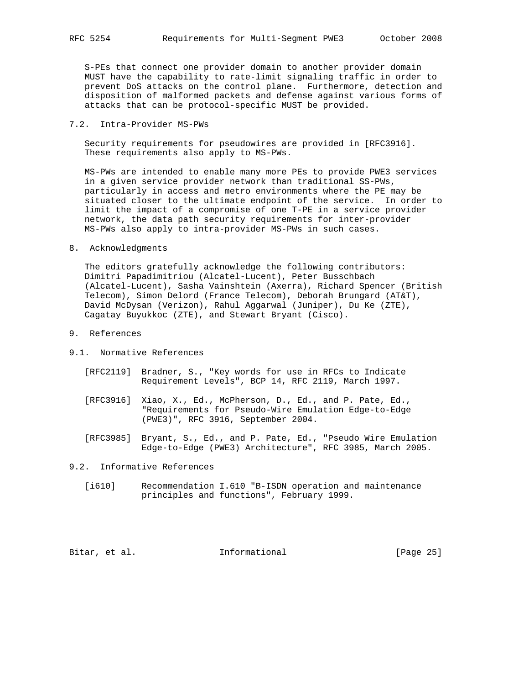S-PEs that connect one provider domain to another provider domain MUST have the capability to rate-limit signaling traffic in order to prevent DoS attacks on the control plane. Furthermore, detection and disposition of malformed packets and defense against various forms of attacks that can be protocol-specific MUST be provided.

# 7.2. Intra-Provider MS-PWs

 Security requirements for pseudowires are provided in [RFC3916]. These requirements also apply to MS-PWs.

 MS-PWs are intended to enable many more PEs to provide PWE3 services in a given service provider network than traditional SS-PWs, particularly in access and metro environments where the PE may be situated closer to the ultimate endpoint of the service. In order to limit the impact of a compromise of one T-PE in a service provider network, the data path security requirements for inter-provider MS-PWs also apply to intra-provider MS-PWs in such cases.

8. Acknowledgments

 The editors gratefully acknowledge the following contributors: Dimitri Papadimitriou (Alcatel-Lucent), Peter Busschbach (Alcatel-Lucent), Sasha Vainshtein (Axerra), Richard Spencer (British Telecom), Simon Delord (France Telecom), Deborah Brungard (AT&T), David McDysan (Verizon), Rahul Aggarwal (Juniper), Du Ke (ZTE), Cagatay Buyukkoc (ZTE), and Stewart Bryant (Cisco).

- 9. References
- 9.1. Normative References
	- [RFC2119] Bradner, S., "Key words for use in RFCs to Indicate Requirement Levels", BCP 14, RFC 2119, March 1997.
	- [RFC3916] Xiao, X., Ed., McPherson, D., Ed., and P. Pate, Ed., "Requirements for Pseudo-Wire Emulation Edge-to-Edge (PWE3)", RFC 3916, September 2004.
	- [RFC3985] Bryant, S., Ed., and P. Pate, Ed., "Pseudo Wire Emulation Edge-to-Edge (PWE3) Architecture", RFC 3985, March 2005.

9.2. Informative References

 [i610] Recommendation I.610 "B-ISDN operation and maintenance principles and functions", February 1999.

Bitar, et al. Informational [Page 25]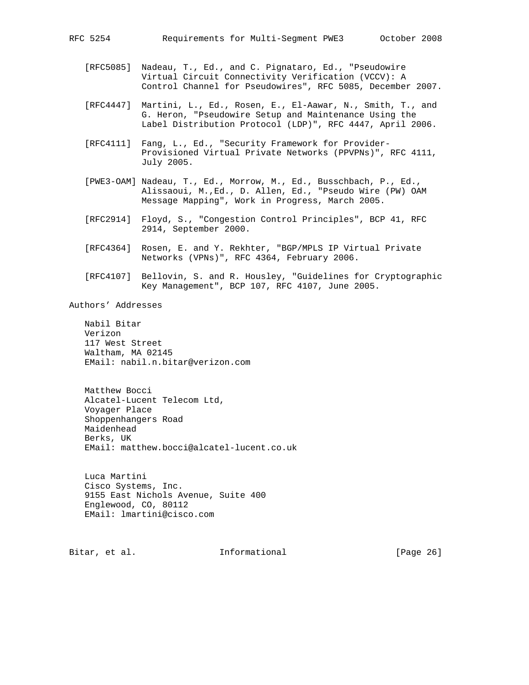- 
- [RFC5085] Nadeau, T., Ed., and C. Pignataro, Ed., "Pseudowire Virtual Circuit Connectivity Verification (VCCV): A Control Channel for Pseudowires", RFC 5085, December 2007.
- [RFC4447] Martini, L., Ed., Rosen, E., El-Aawar, N., Smith, T., and G. Heron, "Pseudowire Setup and Maintenance Using the Label Distribution Protocol (LDP)", RFC 4447, April 2006.
- [RFC4111] Fang, L., Ed., "Security Framework for Provider- Provisioned Virtual Private Networks (PPVPNs)", RFC 4111, July 2005.
- [PWE3-OAM] Nadeau, T., Ed., Morrow, M., Ed., Busschbach, P., Ed., Alissaoui, M.,Ed., D. Allen, Ed., "Pseudo Wire (PW) OAM Message Mapping", Work in Progress, March 2005.
- [RFC2914] Floyd, S., "Congestion Control Principles", BCP 41, RFC 2914, September 2000.
- [RFC4364] Rosen, E. and Y. Rekhter, "BGP/MPLS IP Virtual Private Networks (VPNs)", RFC 4364, February 2006.
- [RFC4107] Bellovin, S. and R. Housley, "Guidelines for Cryptographic Key Management", BCP 107, RFC 4107, June 2005.

Authors' Addresses

 Nabil Bitar Verizon 117 West Street Waltham, MA 02145 EMail: nabil.n.bitar@verizon.com

 Matthew Bocci Alcatel-Lucent Telecom Ltd, Voyager Place Shoppenhangers Road Maidenhead Berks, UK EMail: matthew.bocci@alcatel-lucent.co.uk

 Luca Martini Cisco Systems, Inc. 9155 East Nichols Avenue, Suite 400 Englewood, CO, 80112 EMail: lmartini@cisco.com

Bitar, et al. 1nformational [Page 26]